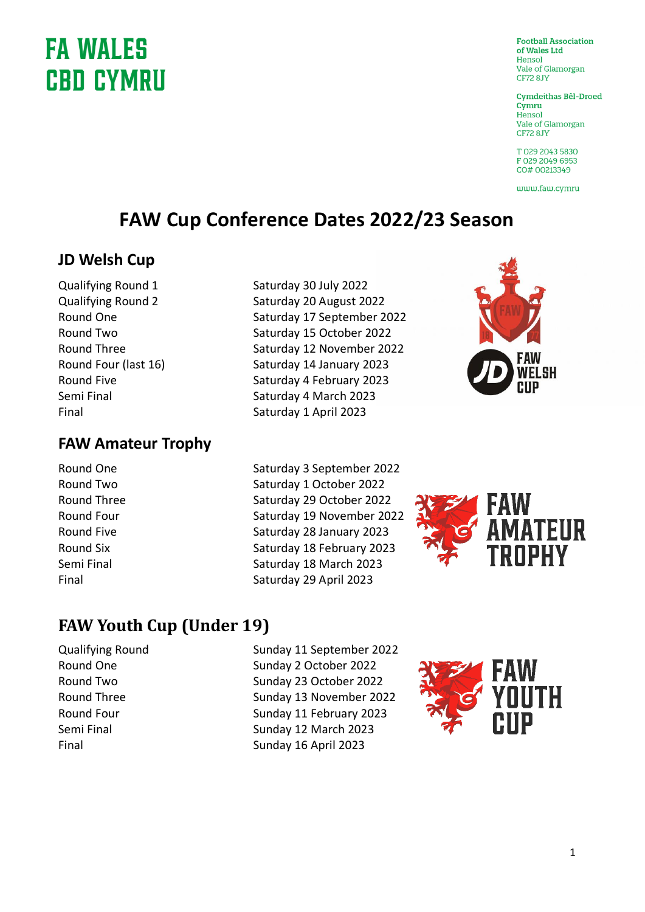# **FA WALES CBD CYMRU**

**Football Association** of Wales Ltd Hensol vale of Glamorgan **CF72 8.IY** 

**Cymdeithas Bêl-Droed** Cymru Hensol Vale of Glamorgan CF72 8JY

T029 2043 5830 F029 2049 6953 CO# 00213349

www.faw.cvmru

### **FAW Cup Conference Dates 2022/23 Season**

#### **JD Welsh Cup**

#### **FAW Amateur Trophy**

- 
- Qualifying Round 1 Saturday 30 July 2022 Qualifying Round 2 Saturday 20 August 2022 Round One Saturday 17 September 2022 Round Two Saturday 15 October 2022 Round Three Saturday 12 November 2022 Round Four (last 16) Saturday 14 January 2023 Round Five **Saturday 4 February 2023** Semi Final Saturday 4 March 2023 Final Saturday 1 April 2023



Round One Saturday 3 September 2022 Round Two Saturday 1 October 2022 Round Three Saturday 29 October 2022 Round Four Saturday 19 November 2022 Round Five **Saturday 28 January 2023** Round Six Saturday 18 February 2023 Semi Final Saturday 18 March 2023 Final Saturday 29 April 2023



### **FAW Youth Cup (Under 19)**

Qualifying Round Sunday 11 September 2022 Round One Sunday 2 October 2022 Round Two Sunday 23 October 2022 Round Three Sunday 13 November 2022 Round Four Sunday 11 February 2023 Semi Final Sunday 12 March 2023 Final Sunday 16 April 2023

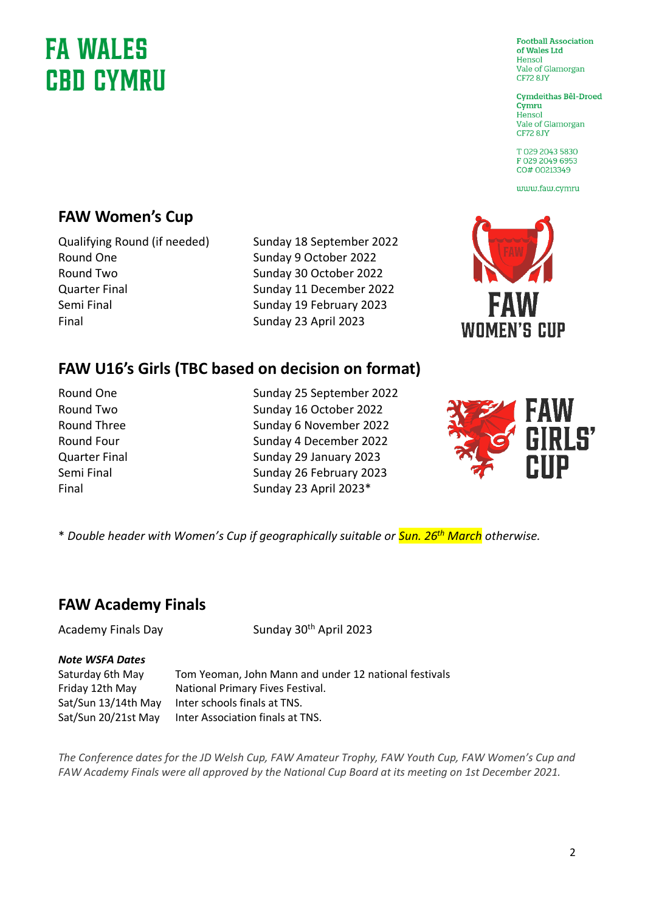# **FA WALES CBD CYMRU**

#### **FAW Women's Cup**

Qualifying Round (if needed) Sunday 18 September 2022 Round One Sunday 9 October 2022 Round Two Sunday 30 October 2022 Quarter Final Sunday 11 December 2022 Semi Final Sunday 19 February 2023

Final Sunday 23 April 2023

### **FAW U16's Girls (TBC based on decision on format)**

Round One Sunday 25 September 2022 Round Two Sunday 16 October 2022 Round Three Sunday 6 November 2022 Round Four Sunday 4 December 2022 Quarter Final Sunday 29 January 2023 Semi Final Sunday 26 February 2023 Final Sunday 23 April 2023\*



**WOMEN'S CUP** 

\* *Double header with Women's Cup if geographically suitable or Sun. 26th March otherwise.*

#### **FAW Academy Finals**

Academy Finals Day Sunday 30<sup>th</sup> April 2023

#### *Note WSFA Dates*

Saturday 6th May Tom Yeoman, John Mann and under 12 national festivals Friday 12th May National Primary Fives Festival. Sat/Sun 13/14th May Inter schools finals at TNS. Sat/Sun 20/21st May Inter Association finals at TNS.

*The Conference dates for the JD Welsh Cup, FAW Amateur Trophy, FAW Youth Cup, FAW Women's Cup and FAW Academy Finals were all approved by the National Cup Board at its meeting on 1st December 2021.*

**Football Association** of Wales Ltd Hensol vale of Glamorgan **CF72 8.IY** 

**Cymdeithas Bêl-Droed** Cymru Hensol Vale of Glamorgan CF72 8JY

T 029 2043 5830 F 029 2049 6953 CO# 00213349

www.faw.cvmru